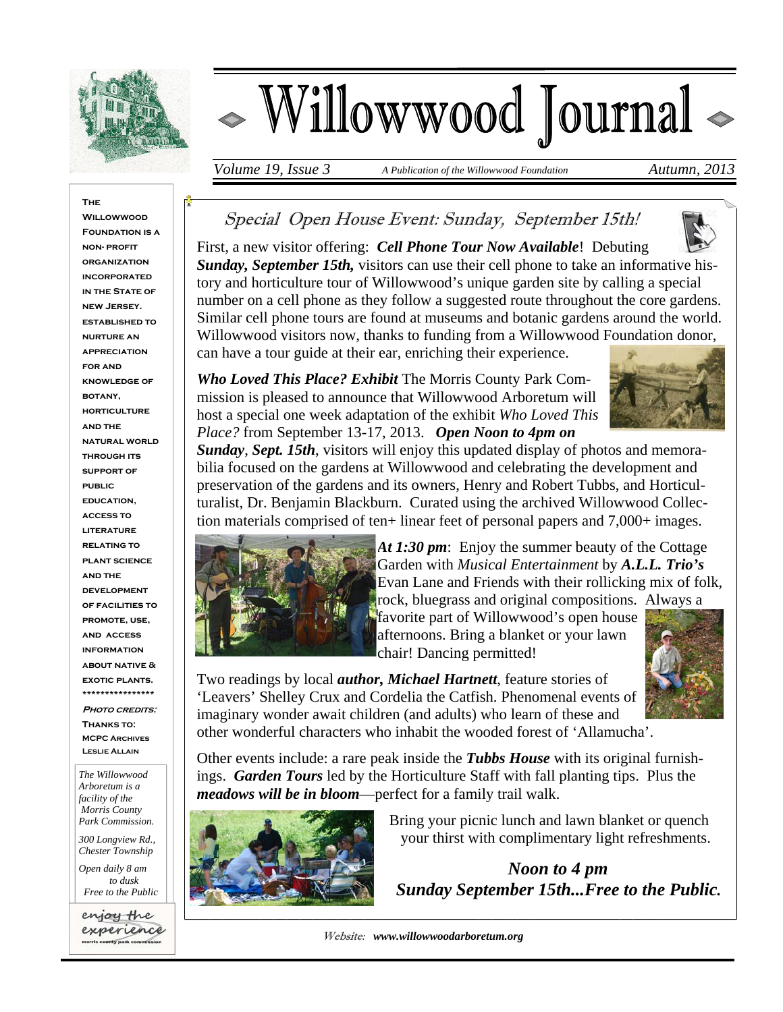

# Willowwood Journal <

*Volume 19, Issue 3* A Publication of the Willowwood Foundation **Autumn**, 2013

#### **The Willowwood FOUNDATION IS A non- profit organization incorporated IN THE STATE OF new Jersey. established to nurture an appreciation for and knowledge of botany, horticulture and the natural world through its support of public education, access to literature relating to plant science and the development of facilities to promote, use, and access information about native & exotic plants. \*\*\*\*\*\*\*\*\*\*\*\*\*\*\*\* PHOTO CREDITS: Thanks to: MCPC Archives Leslie Allain**

*The Willowwood Arboretum is a facility of the Morris County Park Commission.* 

*300 Longview Rd., Chester Township* 

*Open daily 8 am to dusk Free to the Public* 

enjoy the experience ounty park commission

# Special Open House Event: Sunday, September 15th!



First, a new visitor offering: *Cell Phone Tour Now Available*! Debuting *Sunday, September 15th,* visitors can use their cell phone to take an informative history and horticulture tour of Willowwood's unique garden site by calling a special number on a cell phone as they follow a suggested route throughout the core gardens. Similar cell phone tours are found at museums and botanic gardens around the world. Willowwood visitors now, thanks to funding from a Willowwood Foundation donor, can have a tour guide at their ear, enriching their experience.

*Who Loved This Place? Exhibit* The Morris County Park Commission is pleased to announce that Willowwood Arboretum will host a special one week adaptation of the exhibit *Who Loved This Place?* from September 13-17, 2013. *Open Noon to 4pm on* 



*Sunday*, *Sept. 15th*, visitors will enjoy this updated display of photos and memorabilia focused on the gardens at Willowwood and celebrating the development and preservation of the gardens and its owners, Henry and Robert Tubbs, and Horticulturalist, Dr. Benjamin Blackburn. Curated using the archived Willowwood Collection materials comprised of ten+ linear feet of personal papers and 7,000+ images.



*At 1:30 pm*: Enjoy the summer beauty of the Cottage Garden with *Musical Entertainment* by *A.L.L. Trio's*  Evan Lane and Friends with their rollicking mix of folk, rock, bluegrass and original compositions. Always a

favorite part of Willowwood's open house afternoons. Bring a blanket or your lawn chair! Dancing permitted!



Two readings by local *author, Michael Hartnett*, feature stories of 'Leavers' Shelley Crux and Cordelia the Catfish. Phenomenal events of imaginary wonder await children (and adults) who learn of these and other wonderful characters who inhabit the wooded forest of 'Allamucha'.

Other events include: a rare peak inside the *Tubbs House* with its original furnishings. *Garden Tours* led by the Horticulture Staff with fall planting tips. Plus the *meadows will be in bloom*—perfect for a family trail walk.



 Bring your picnic lunch and lawn blanket or quench your thirst with complimentary light refreshments.

 *Noon to 4 pm Sunday September 15th...Free to the Public.* 

Website: *www.willowwoodarboretum.org*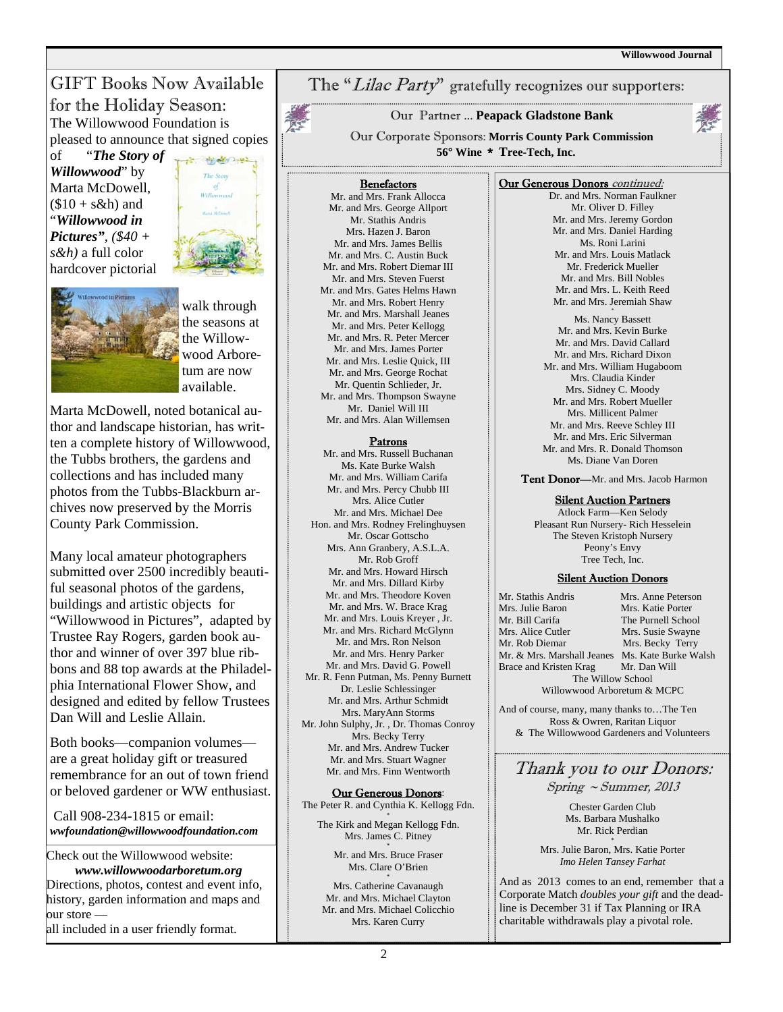## GIFT Books Now Available for the Holiday Season: The Willowwood Foundation is pleased to announce that signed copies

of "*The Story of Willowwood*" by Marta McDowell,  $($10 + s\&h)$  and "*Willowwood in Pictures", (\$40 + s&h)* a full color hardcover pictorial





walk through the seasons at the Willowwood Arboretum are now available.

Marta McDowell, noted botanical author and landscape historian, has written a complete history of Willowwood, the Tubbs brothers, the gardens and collections and has included many photos from the Tubbs-Blackburn archives now preserved by the Morris County Park Commission.

Many local amateur photographers submitted over 2500 incredibly beautiful seasonal photos of the gardens, buildings and artistic objects for "Willowwood in Pictures", adapted by Trustee Ray Rogers, garden book author and winner of over 397 blue ribbons and 88 top awards at the Philadelphia International Flower Show, and designed and edited by fellow Trustees Dan Will and Leslie Allain.

Both books—companion volumes are a great holiday gift or treasured remembrance for an out of town friend or beloved gardener or WW enthusiast.

 Call 908-234-1815 or email: *wwfoundation@willowwoodfoundation.com* 

Check out the Willowwood website:  *www.willowwoodarboretum.org*  Directions, photos, contest and event info, history, garden information and maps and our store all included in a user friendly format.

## The "Lilac Party" gratefully recognizes our supporters:

Our Partner ... **Peapack Gladstone Bank**

Our Corporate Sponsors: **Morris County Park Commission 56° Wine** \* **Tree-Tech, Inc.** 

#### **Benefactors**

Mr. and Mrs. Frank Allocca Mr. and Mrs. George Allport Mr. Stathis Andris Mrs. Hazen J. Baron Mr. and Mrs. James Bellis Mr. and Mrs. C. Austin Buck Mr. and Mrs. Robert Diemar III Mr. and Mrs. Steven Fuerst Mr. and Mrs. Gates Helms Hawn Mr. and Mrs. Robert Henry Mr. and Mrs. Marshall Jeanes Mr. and Mrs. Peter Kellogg Mr. and Mrs. R. Peter Mercer Mr. and Mrs. James Porter Mr. and Mrs. Leslie Quick, III Mr. and Mrs. George Rochat Mr. Quentin Schlieder, Jr. Mr. and Mrs. Thompson Swayne Mr. Daniel Will III Mr. and Mrs. Alan Willemsen

#### Patrons

Mr. and Mrs. Russell Buchanan Ms. Kate Burke Walsh Mr. and Mrs. William Carifa Mr. and Mrs. Percy Chubb III Mrs. Alice Cutler Mr. and Mrs. Michael Dee Hon. and Mrs. Rodney Frelinghuysen Mr. Oscar Gottscho Mrs. Ann Granbery, A.S.L.A. Mr. Rob Groff Mr. and Mrs. Howard Hirsch Mr. and Mrs. Dillard Kirby Mr. and Mrs. Theodore Koven Mr. and Mrs. W. Brace Krag Mr. and Mrs. Louis Kreyer , Jr. Mr. and Mrs. Richard McGlynn Mr. and Mrs. Ron Nelson Mr. and Mrs. Henry Parker Mr. and Mrs. David G. Powell Mr. R. Fenn Putman, Ms. Penny Burnett Dr. Leslie Schlessinger Mr. and Mrs. Arthur Schmidt Mrs. MaryAnn Storms Mr. John Sulphy, Jr. , Dr. Thomas Conroy Mrs. Becky Terry Mr. and Mrs. Andrew Tucker Mr. and Mrs. Stuart Wagner Mr. and Mrs. Finn Wentworth

Our Generous Donors: The Peter R. and Cynthia K. Kellogg Fdn. \*

The Kirk and Megan Kellogg Fdn. Mrs. James C. Pitney Mr. and Mrs. Bruce Fraser

Mrs. Clare O'Brien

Mrs. Catherine Cavanaugh Mr. and Mrs. Michael Clayton Mr. and Mrs. Michael Colicchio Mrs. Karen Curry

#### Our Generous Donors continued:

Dr. and Mrs. Norman Faulkner Mr. Oliver D. Filley Mr. and Mrs. Jeremy Gordon Mr. and Mrs. Daniel Harding Ms. Roni Larini Mr. and Mrs. Louis Matlack Mr. Frederick Mueller Mr. and Mrs. Bill Nobles Mr. and Mrs. L. Keith Reed Mr. and Mrs. Jeremiah Shaw \*

Ms. Nancy Bassett Mr. and Mrs. Kevin Burke Mr. and Mrs. David Callard Mr. and Mrs. Richard Dixon Mr. and Mrs. William Hugaboom Mrs. Claudia Kinder Mrs. Sidney C. Moody Mr. and Mrs. Robert Mueller Mrs. Millicent Palmer Mr. and Mrs. Reeve Schley III Mr. and Mrs. Eric Silverman Mr. and Mrs. R. Donald Thomson Ms. Diane Van Doren

Tent Donor-Mr. and Mrs. Jacob Harmon

#### Silent Auction Partners

Atlock Farm—Ken Selody Pleasant Run Nursery- Rich Hesselein The Steven Kristoph Nursery Peony's Envy Tree Tech, Inc.

#### Silent Auction Donors

| Mr. Stathis Andris                              | Mrs. Anne Peterson |
|-------------------------------------------------|--------------------|
| Mrs. Julie Baron                                | Mrs. Katie Porter  |
| Mr. Bill Carifa                                 | The Purnell School |
| Mrs. Alice Cutler                               | Mrs. Susie Swayne  |
| Mr. Rob Diemar                                  | Mrs. Becky Terry   |
| Mr. & Mrs. Marshall Jeanes Ms. Kate Burke Walsh |                    |
| Brace and Kristen Krag                          | Mr. Dan Will       |
| The Willow School                               |                    |
| Willowwood Arboretum & MCPC                     |                    |

And of course, many, many thanks to…The Ten Ross & Owren, Raritan Liquor & The Willowwood Gardeners and Volunteers

### Thank you to our Donors: Spring ~ Summer, 2013

Chester Garden Club Ms. Barbara Mushalko Mr. Rick Perdian

Mrs. Julie Baron, Mrs. Katie Porter *Imo Helen Tansey Farhat*

And as 2013 comes to an end, remember that a Corporate Match *doubles your gift* and the deadline is December 31 if Tax Planning or IRA charitable withdrawals play a pivotal role.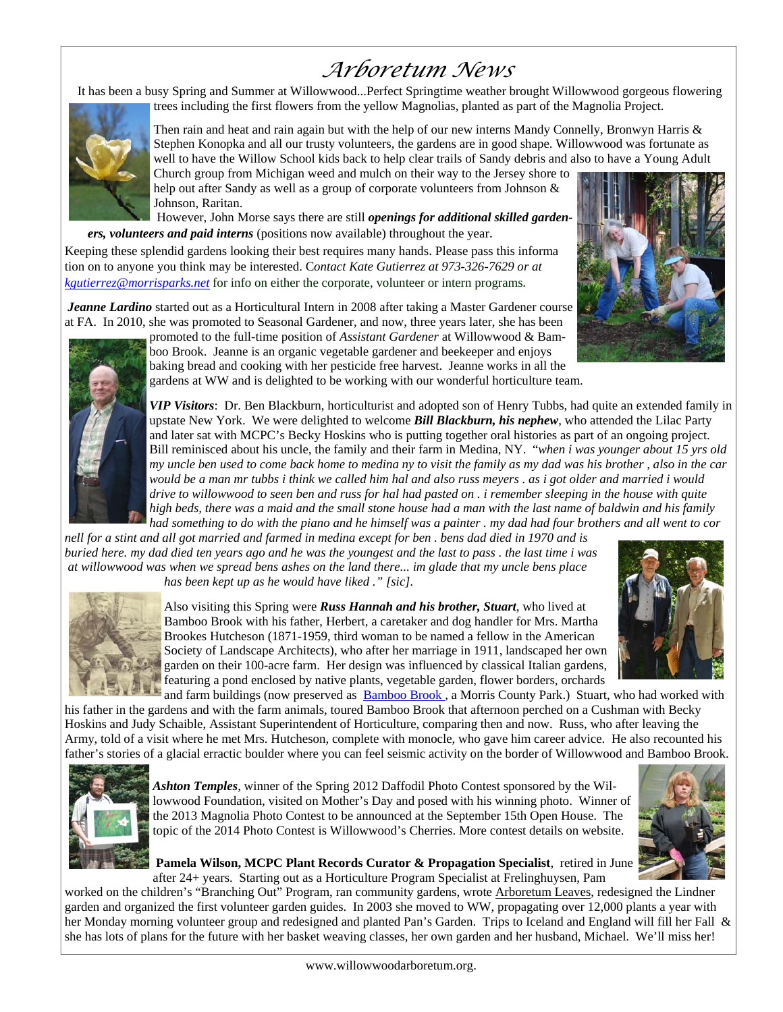# *Arboretum News*

 It has been a busy Spring and Summer at Willowwood...Perfect Springtime weather brought Willowwood gorgeous flowering trees including the first flowers from the yellow Magnolias, planted as part of the Magnolia Project.



Then rain and heat and rain again but with the help of our new interns Mandy Connelly, Bronwyn Harris & Stephen Konopka and all our trusty volunteers, the gardens are in good shape. Willowwood was fortunate as well to have the Willow School kids back to help clear trails of Sandy debris and also to have a Young Adult

Church group from Michigan weed and mulch on their way to the Jersey shore to help out after Sandy as well as a group of corporate volunteers from Johnson & Johnson, Raritan.

 However, John Morse says there are still *openings for additional skilled gardeners, volunteers and paid interns* (positions now available) throughout the year.

Keeping these splendid gardens looking their best requires many hands. Please pass this informa tion on to anyone you think may be interested. C*ontact Kate Gutierrez at 973-326-7629 or at kgutierrez@morrisparks.net* for info on either the corporate, volunteer or intern programs*.*

*Jeanne Lardino* started out as a Horticultural Intern in 2008 after taking a Master Gardener course at FA. In 2010, she was promoted to Seasonal Gardener, and now, three years later, she has been





promoted to the full-time position of *Assistant Gardener* at Willowwood & Bamboo Brook. Jeanne is an organic vegetable gardener and beekeeper and enjoys baking bread and cooking with her pesticide free harvest. Jeanne works in all the gardens at WW and is delighted to be working with our wonderful horticulture team.

*VIP Visitors*: Dr. Ben Blackburn, horticulturist and adopted son of Henry Tubbs, had quite an extended family in upstate New York. We were delighted to welcome *Bill Blackburn, his nephew*, who attended the Lilac Party and later sat with MCPC's Becky Hoskins who is putting together oral histories as part of an ongoing project. Bill reminisced about his uncle, the family and their farm in Medina, NY. "*when i was younger about 15 yrs old my uncle ben used to come back home to medina ny to visit the family as my dad was his brother , also in the car would be a man mr tubbs i think we called him hal and also russ meyers . as i got older and married i would drive to willowwood to seen ben and russ for hal had pasted on . i remember sleeping in the house with quite high beds, there was a maid and the small stone house had a man with the last name of baldwin and his family had something to do with the piano and he himself was a painter . my dad had four brothers and all went to cor* 

*nell for a stint and all got married and farmed in medina except for ben . bens dad died in 1970 and is buried here. my dad died ten years ago and he was the youngest and the last to pass . the last time i was at willowwood was when we spread bens ashes on the land there... im glade that my uncle bens place has been kept up as he would have liked ." [sic].* 





Also visiting this Spring were *Russ Hannah and his brother, Stuart*, who lived at Bamboo Brook with his father, Herbert, a caretaker and dog handler for Mrs. Martha Brookes Hutcheson (1871-1959, third woman to be named a fellow in the American Society of Landscape Architects), who after her marriage in 1911, landscaped her own garden on their 100-acre farm. Her design was influenced by classical Italian gardens, featuring a pond enclosed by native plants, vegetable garden, flower borders, orchards

and farm buildings (now preserved as Bamboo Brook, a Morris County Park.) Stuart, who had worked with his father in the gardens and with the farm animals, toured Bamboo Brook that afternoon perched on a Cushman with Becky Hoskins and Judy Schaible, Assistant Superintendent of Horticulture, comparing then and now. Russ, who after leaving the Army, told of a visit where he met Mrs. Hutcheson, complete with monocle, who gave him career advice. He also recounted his father's stories of a glacial erractic boulder where you can feel seismic activity on the border of Willowwood and Bamboo Brook.



*Ashton Temples*, winner of the Spring 2012 Daffodil Photo Contest sponsored by the Willowwood Foundation, visited on Mother's Day and posed with his winning photo. Winner of the 2013 Magnolia Photo Contest to be announced at the September 15th Open House. The topic of the 2014 Photo Contest is Willowwood's Cherries. More contest details on website.



**Pamela Wilson, MCPC Plant Records Curator & Propagation Specialist**, retired in June after 24+ years. Starting out as a Horticulture Program Specialist at Frelinghuysen, Pam

worked on the children's "Branching Out" Program, ran community gardens, wrote **Arboretum Leaves**, redesigned the Lindner garden and organized the first volunteer garden guides. In 2003 she moved to WW, propagating over 12,000 plants a year with her Monday morning volunteer group and redesigned and planted Pan's Garden. Trips to Iceland and England will fill her Fall & she has lots of plans for the future with her basket weaving classes, her own garden and her husband, Michael. We'll miss her!